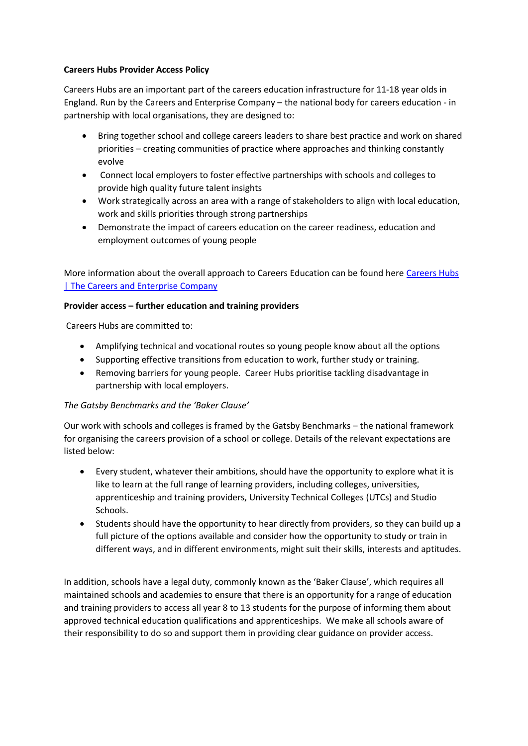## **Careers Hubs Provider Access Policy**

Careers Hubs are an important part of the careers education infrastructure for 11-18 year olds in England. Run by the Careers and Enterprise Company – the national body for careers education - in partnership with local organisations, they are designed to:

- Bring together school and college careers leaders to share best practice and work on shared priorities – creating communities of practice where approaches and thinking constantly evolve
- Connect local employers to foster effective partnerships with schools and colleges to provide high quality future talent insights
- Work strategically across an area with a range of stakeholders to align with local education, work and skills priorities through strong partnerships
- Demonstrate the impact of careers education on the career readiness, education and employment outcomes of young people

More information about the overall approach to Careers Education can be found here [Careers Hubs](https://www.careersandenterprise.co.uk/our-network-careers-hubs/careers-hubs/)  [| The Careers and Enterprise Company](https://www.careersandenterprise.co.uk/our-network-careers-hubs/careers-hubs/)

## **Provider access – further education and training providers**

Careers Hubs are committed to:

- Amplifying technical and vocational routes so young people know about all the options
- Supporting effective transitions from education to work, further study or training.
- Removing barriers for young people. Career Hubs prioritise tackling disadvantage in partnership with local employers.

## *The Gatsby Benchmarks and the 'Baker Clause'*

Our work with schools and colleges is framed by the Gatsby Benchmarks – the national framework for organising the careers provision of a school or college. Details of the relevant expectations are listed below:

- Every student, whatever their ambitions, should have the opportunity to explore what it is like to learn at the full range of learning providers, including colleges, universities, apprenticeship and training providers, University Technical Colleges (UTCs) and Studio Schools.
- Students should have the opportunity to hear directly from providers, so they can build up a full picture of the options available and consider how the opportunity to study or train in different ways, and in different environments, might suit their skills, interests and aptitudes.

In addition, schools have a legal duty, commonly known as the 'Baker Clause', which requires all maintained schools and academies to ensure that there is an opportunity for a range of education and training providers to access all year 8 to 13 students for the purpose of informing them about approved technical education qualifications and apprenticeships. We make all schools aware of their responsibility to do so and support them in providing clear guidance on provider access.